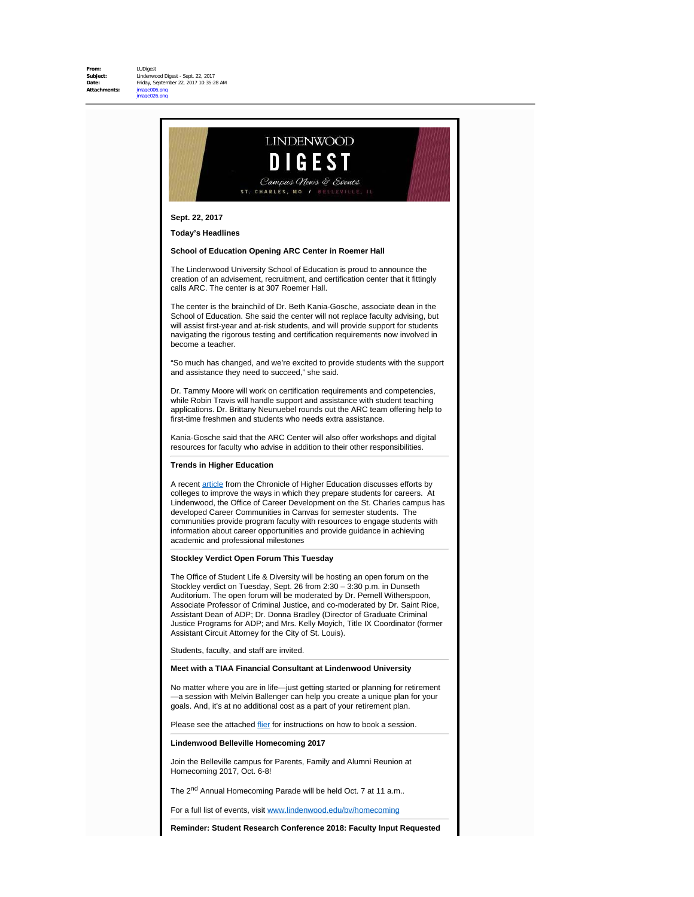

**Reminder: Student Research Conference 2018: Faculty Input Requested**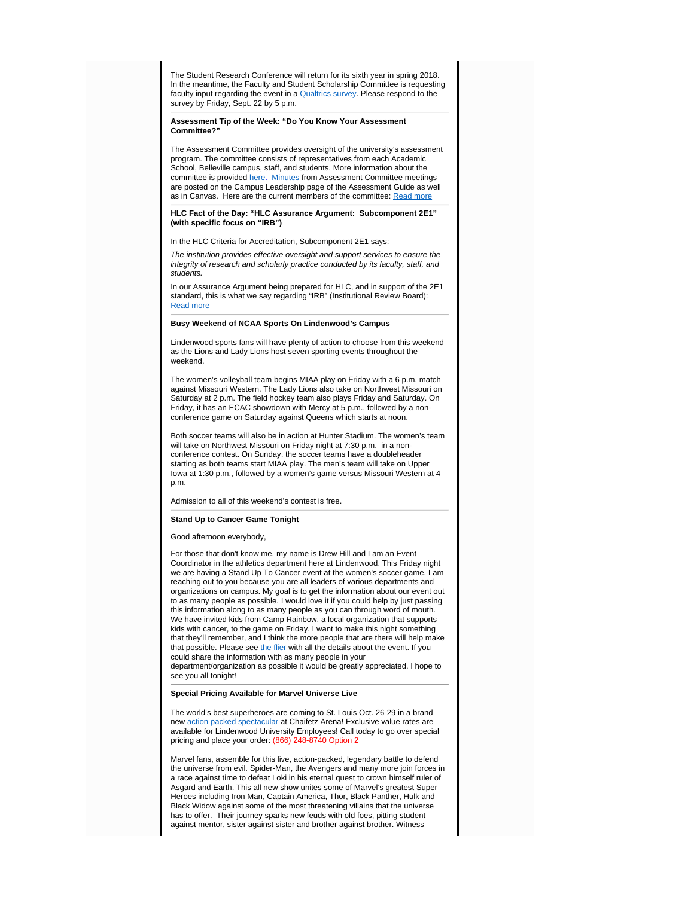The Student Research Conference will return for its sixth year in spring 2018. In the meantime, the Faculty and Student Scholarship Committee is requesting faculty input regarding the event in a [Qualtrics](https://lindenwood.az1.qualtrics.com/jfe/form/SV_bEeR9B6eOd4Kg6N) survey. Please respond to the survey by Friday, Sept. 22 by 5 p.m.

## **Assessment Tip of the Week: "Do You Know Your Assessment Committee?"**

The Assessment Committee provides oversight of the university's assessment program. The committee consists of representatives from each Academic School, Belleville campus, staff, and students. More information about the committee is provided [here](http://lindenwood.libguides.com/ld.php?content_id=15719820). [Minutes](http://lindenwood.libguides.com/assessment/leadership) from Assessment Committee meetings are posted on the Campus Leadership page of the Assessment Guide as well as in Canvas. Here are the current members of the committee: [Read](http://felix.lindenwood.edu/newsletter/2017_09/tip_sept22.pdf) more

## **HLC Fact of the Day: "HLC Assurance Argument: Subcomponent 2E1" (with specific focus on "IRB")**

In the HLC Criteria for Accreditation, Subcomponent 2E1 says:

*The institution provides effective oversight and support services to ensure the integrity of research and scholarly practice conducted by its faculty, staff, and students.*

In our Assurance Argument being prepared for HLC, and in support of the 2E1 standard, this is what we say regarding "IRB" (Institutional Review Board): [Read](http://felix.lindenwood.edu/newsletter/2017_09/fact_sept22.pdf) more

# **Busy Weekend of NCAA Sports On Lindenwood's Campus**

Lindenwood sports fans will have plenty of action to choose from this weekend as the Lions and Lady Lions host seven sporting events throughout the weekend.

The women's volleyball team begins MIAA play on Friday with a 6 p.m. match against Missouri Western. The Lady Lions also take on Northwest Missouri on Saturday at 2 p.m. The field hockey team also plays Friday and Saturday. On Friday, it has an ECAC showdown with Mercy at 5 p.m., followed by a nonconference game on Saturday against Queens which starts at noon.

Both soccer teams will also be in action at Hunter Stadium. The women's team will take on Northwest Missouri on Friday night at 7:30 p.m. in a nonconference contest. On Sunday, the soccer teams have a doubleheader starting as both teams start MIAA play. The men's team will take on Upper Iowa at 1:30 p.m., followed by a women's game versus Missouri Western at 4 p.m.

Admission to all of this weekend's contest is free.

### **Stand Up to Cancer Game Tonight**

Good afternoon everybody,

For those that don't know me, my name is Drew Hill and I am an Event Coordinator in the athletics department here at Lindenwood. This Friday night we are having a Stand Up To Cancer event at the women's soccer game. I am reaching out to you because you are all leaders of various departments and organizations on campus. My goal is to get the information about our event out to as many people as possible. I would love it if you could help by just passing this information along to as many people as you can through word of mouth. We have invited kids from Camp Rainbow, a local organization that supports kids with cancer, to the game on Friday. I want to make this night something that they'll remember, and I think the more people that are there will help make that possible. Please see the [flier](http://felix.lindenwood.edu/newsletter/2017_09/standuptocancer.jpg) with all the details about the event. If you could share the information with as many people in your department/organization as possible it would be greatly appreciated. I hope to

see you all tonight!

# **Special Pricing Available for Marvel Universe Live**

The world's best superheroes are coming to St. Louis Oct. 26-29 in a brand new action packed [spectacular](http://felix.lindenwood.edu/newsletter/2017_09/marvel.pdf) at Chaifetz Arena! Exclusive value rates are available for Lindenwood University Employees! Call today to go over special pricing and place your order: (866) 248-8740 Option 2

Marvel fans, assemble for this live, action-packed, legendary battle to defend the universe from evil. Spider-Man, the Avengers and many more join forces in a race against time to defeat Loki in his eternal quest to crown himself ruler of Asgard and Earth. This all new show unites some of Marvel's greatest Super Heroes including Iron Man, Captain America, Thor, Black Panther, Hulk and Black Widow against some of the most threatening villains that the universe has to offer. Their journey sparks new feuds with old foes, pitting student against mentor, sister against sister and brother against brother. Witness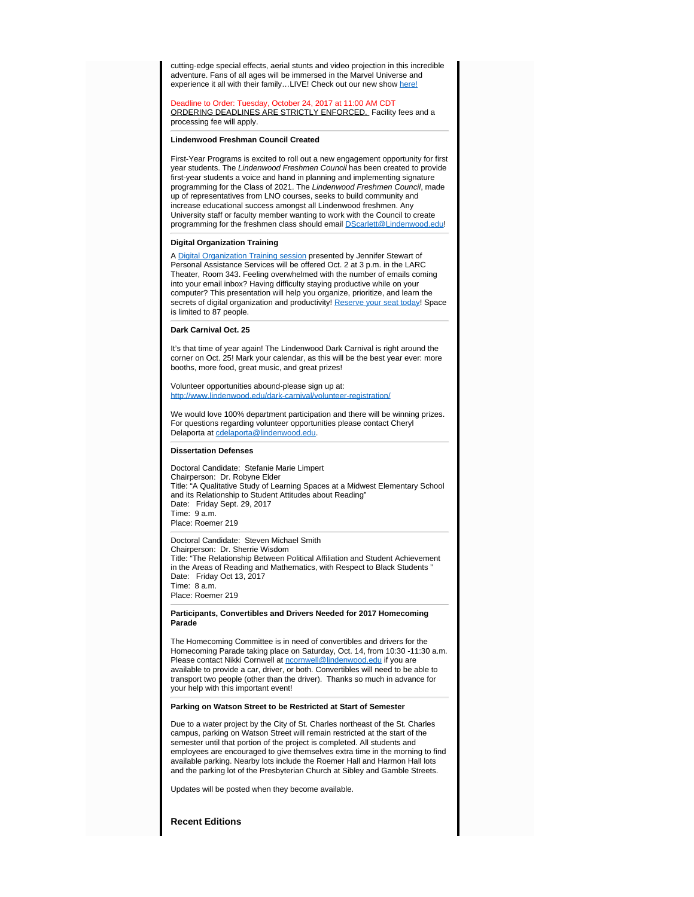cutting-edge special effects, aerial stunts and video projection in this incredible adventure. Fans of all ages will be immersed in the Marvel Universe and experience it all with their family…LIVE! Check out our new show [here!](https://www.youtube.com/watch?v=WpCRWMXfXtQ)

Deadline to Order: Tuesday, October 24, 2017 at 11:00 AM CDT ORDERING DEADLINES ARE STRICTLY ENFORCED. Facility fees and a processing fee will apply.

#### **Lindenwood Freshman Council Created**

First-Year Programs is excited to roll out a new engagement opportunity for first year students. The *Lindenwood Freshmen Council* has been created to provide first-year students a voice and hand in planning and implementing signature programming for the Class of 2021. The *Lindenwood Freshmen Council*, made up of representatives from LNO courses, seeks to build community and increase educational success amongst all Lindenwood freshmen. Any University staff or faculty member wanting to work with the Council to create programming for the freshmen class should email [DScarlett@Lindenwood.edu](mailto:DScarlett@Lindenwood.edu)!

## **Digital Organization Training**

A Digital [Organization](http://felix.lindenwood.edu/newsletter/2017_09/digitalorgflyer.pdf) Training session presented by Jennifer Stewart of Personal Assistance Services will be offered Oct. 2 at 3 p.m. in the LARC Theater, Room 343. Feeling overwhelmed with the number of emails coming into your email inbox? Having difficulty staying productive while on your computer? This presentation will help you organize, prioritize, and learn the secrets of digital organization and productivity! [Reserve](https://www.eventbrite.com/e/digital-organization-tickets-37702578427) your seat today! Space is limited to 87 people.

## **Dark Carnival Oct. 25**

It's that time of year again! The Lindenwood Dark Carnival is right around the corner on Oct. 25! Mark your calendar, as this will be the best year ever: more booths, more food, great music, and great prizes!

Volunteer opportunities abound-please sign up at: <http://www.lindenwood.edu/dark-carnival/volunteer-registration/>

We would love 100% department participation and there will be winning prizes. For questions regarding volunteer opportunities please contact Cheryl Delaporta at [cdelaporta@lindenwood.edu](mailto:cdelaporta@lindenwood.edu).

#### **Dissertation Defenses**

Doctoral Candidate: Stefanie Marie Limpert Chairperson: Dr. Robyne Elder Title: "A Qualitative Study of Learning Spaces at a Midwest Elementary School and its Relationship to Student Attitudes about Reading" Date: Friday Sept. 29, 2017 Time: 9 a.m. Place: Roemer 219

Doctoral Candidate: Steven Michael Smith Chairperson: Dr. Sherrie Wisdom Title: "The Relationship Between Political Affiliation and Student Achievement in the Areas of Reading and Mathematics, with Respect to Black Students " Date: Friday Oct 13, 2017 Time: 8 a.m. Place: Roemer 219

**Participants, Convertibles and Drivers Needed for 2017 Homecoming Parade**

The Homecoming Committee is in need of convertibles and drivers for the Homecoming Parade taking place on Saturday, Oct. 14, from 10:30 -11:30 a.m. Please contact Nikki Cornwell at [ncornwell@lindenwood.edu](mailto:ncornwell@lindenwood.edu) if you are available to provide a car, driver, or both. Convertibles will need to be able to transport two people (other than the driver). Thanks so much in advance for your help with this important event!

### **Parking on Watson Street to be Restricted at Start of Semester**

Due to a water project by the City of St. Charles northeast of the St. Charles campus, parking on Watson Street will remain restricted at the start of the semester until that portion of the project is completed. All students and employees are encouraged to give themselves extra time in the morning to find available parking. Nearby lots include the Roemer Hall and Harmon Hall lots and the parking lot of the Presbyterian Church at Sibley and Gamble Streets.

Updates will be posted when they become available.

**Recent Editions**